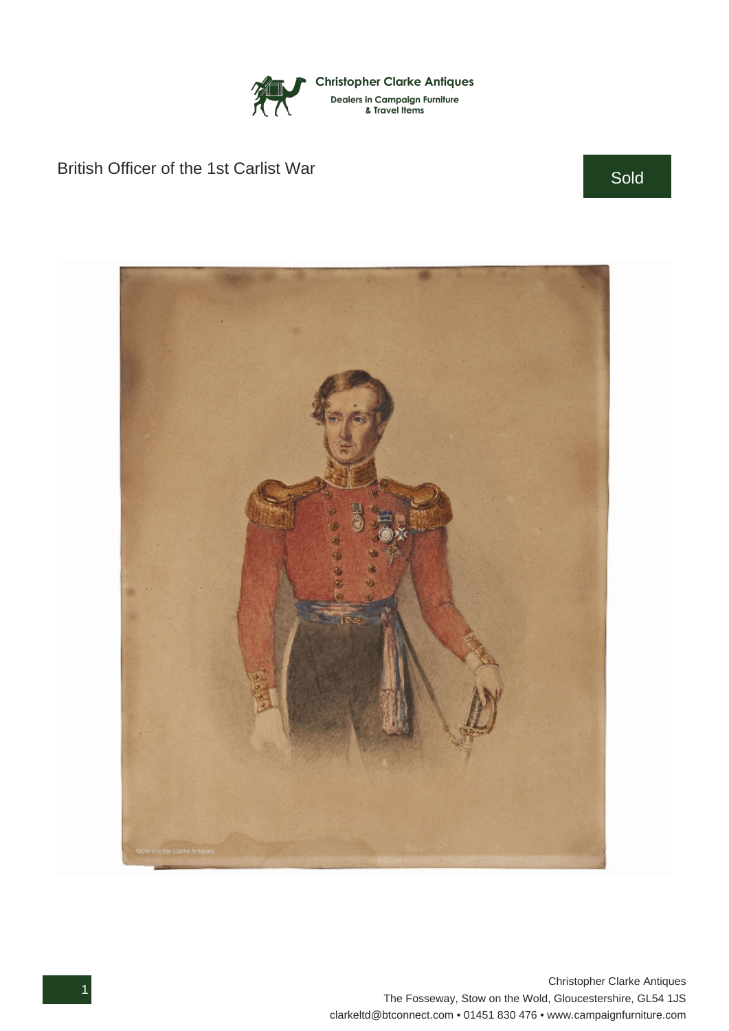

## British Officer of the 1st Carlist War Sold